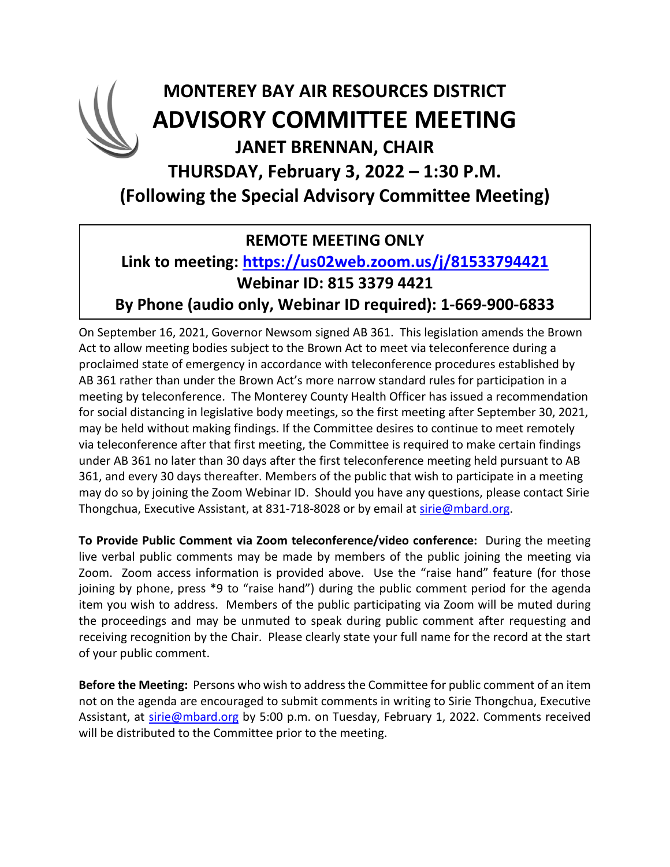## **MONTEREY BAY AIR RESOURCES DISTRICT ADVISORY COMMITTEE MEETING JANET BRENNAN, CHAIR THURSDAY, February 3, 2022 – 1:30 P.M. (Following the Special Advisory Committee Meeting)**

### **REMOTE MEETING ONLY**

#### **Link to meeting:<https://us02web.zoom.us/j/81533794421> Webinar ID: 815 3379 4421 By Phone (audio only, Webinar ID required): 1-669-900-6833**

On September 16, 2021, Governor Newsom signed AB 361. This legislation amends the Brown Act to allow meeting bodies subject to the Brown Act to meet via teleconference during a proclaimed state of emergency in accordance with teleconference procedures established by AB 361 rather than under the Brown Act's more narrow standard rules for participation in a meeting by teleconference. The Monterey County Health Officer has issued a recommendation for social distancing in legislative body meetings, so the first meeting after September 30, 2021, may be held without making findings. If the Committee desires to continue to meet remotely via teleconference after that first meeting, the Committee is required to make certain findings under AB 361 no later than 30 days after the first teleconference meeting held pursuant to AB 361, and every 30 days thereafter. Members of the public that wish to participate in a meeting may do so by joining the Zoom Webinar ID. Should you have any questions, please contact Sirie Thongchua, Executive Assistant, at 831-718-8028 or by email at [sirie@mbard.org.](mailto:sirie@mbard.org)

**To Provide Public Comment via Zoom teleconference/video conference:** During the meeting live verbal public comments may be made by members of the public joining the meeting via Zoom. Zoom access information is provided above. Use the "raise hand" feature (for those joining by phone, press \*9 to "raise hand") during the public comment period for the agenda item you wish to address. Members of the public participating via Zoom will be muted during the proceedings and may be unmuted to speak during public comment after requesting and receiving recognition by the Chair. Please clearly state your full name for the record at the start of your public comment.

**Before the Meeting:** Persons who wish to address the Committee for public comment of an item not on the agenda are encouraged to submit comments in writing to Sirie Thongchua, Executive Assistant, at [sirie@mbard.org](mailto:sirie@mbard.org) by 5:00 p.m. on Tuesday, February 1, 2022. Comments received will be distributed to the Committee prior to the meeting.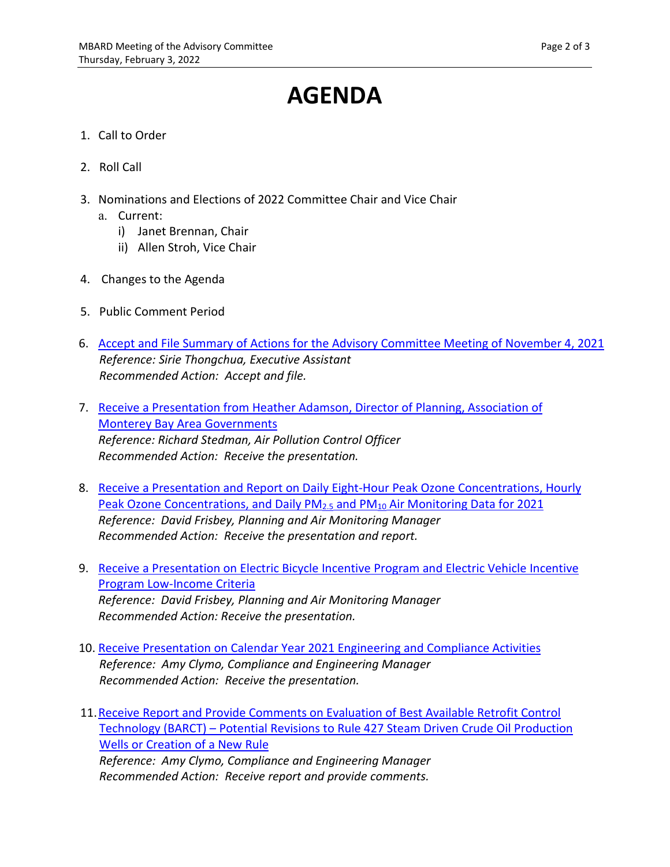# **AGENDA**

- 1. Call to Order
- 2. Roll Call
- 3. Nominations and Elections of 2022 Committee Chair and Vice Chair
	- a. Current:
		- i) Janet Brennan, Chair
		- ii) Allen Stroh, Vice Chair
- 4. Changes to the Agenda
- 5. Public Comment Period
- 6. [Accept and File Summary of Actions for the Advisory Committee Meeting of November 4, 2021](https://www.mbard.org/files/e58ae424f/6+11-4-2021ACMinutes+and+Attachments.pdf) *Reference: Sirie Thongchua, Executive Assistant Recommended Action: Accept and file.*
- 7. [Receive a Presentation from Heather Adamson, Director of Planning, Association of](https://www.mbard.org/files/91921762e/7+AMBAG+Presentation.pdf) [Monterey Bay Area Governments](https://www.mbard.org/files/91921762e/7+AMBAG+Presentation.pdf) *Reference: Richard Stedman, Air Pollution Control Officer Recommended Action: Receive the presentation.*
- 8. [Receive a Presentation and Report on Daily Eight-Hour Peak Ozone Concentrations, Hourly](https://www.mbard.org/files/b2c2c617a/8+Air+Monitoring+Summary+for+Advisory+Committee+3FEB22+and+4+attachments.pdf) Peak Ozone Concentrations, and Daily PM<sub>2.5</sub> and PM<sub>10</sub> Air Monitoring Data for 2021 *Reference: David Frisbey, Planning and Air Monitoring Manager Recommended Action: Receive the presentation and report.*
- 9. [Receive a Presentation on Electric Bicycle Incentive Program and Electric Vehicle Incentive](https://www.mbard.org/files/74e2c7fd9/9+EVIP+and+EBIP+Presentation+Advisory+Committee+3FEB22.pdf) [Program Low-Income Criteria](https://www.mbard.org/files/74e2c7fd9/9+EVIP+and+EBIP+Presentation+Advisory+Committee+3FEB22.pdf) *Reference: David Frisbey, Planning and Air Monitoring Manager Recommended Action: Receive the presentation.*
- 10. [Receive Presentation on Calendar Year 2021 Engineering and Compliance Activities](https://www.mbard.org/files/dea1076ba/10+RegularEngineering+Compliance+2021ActivityAdvisory.pdf) *Reference: Amy Clymo, Compliance and Engineering Manager Recommended Action: Receive the presentation.*
- 11[.Receive Report and Provide Comments on Evaluation of Best Available Retrofit Control](https://www.mbard.org/files/c84c333eb/11+DraftAdvisory+Committee+Rule+427+BARCT+Report+and+Attachment.pdf) [Technology \(BARCT\) – Potential Revisions to Rule 427 Steam Driven Crude Oil Production](https://www.mbard.org/files/c84c333eb/11+DraftAdvisory+Committee+Rule+427+BARCT+Report+and+Attachment.pdf) [Wells or Creation of a New Rule](https://www.mbard.org/files/c84c333eb/11+DraftAdvisory+Committee+Rule+427+BARCT+Report+and+Attachment.pdf) *Reference: Amy Clymo, Compliance and Engineering Manager*

*Recommended Action: Receive report and provide comments.*